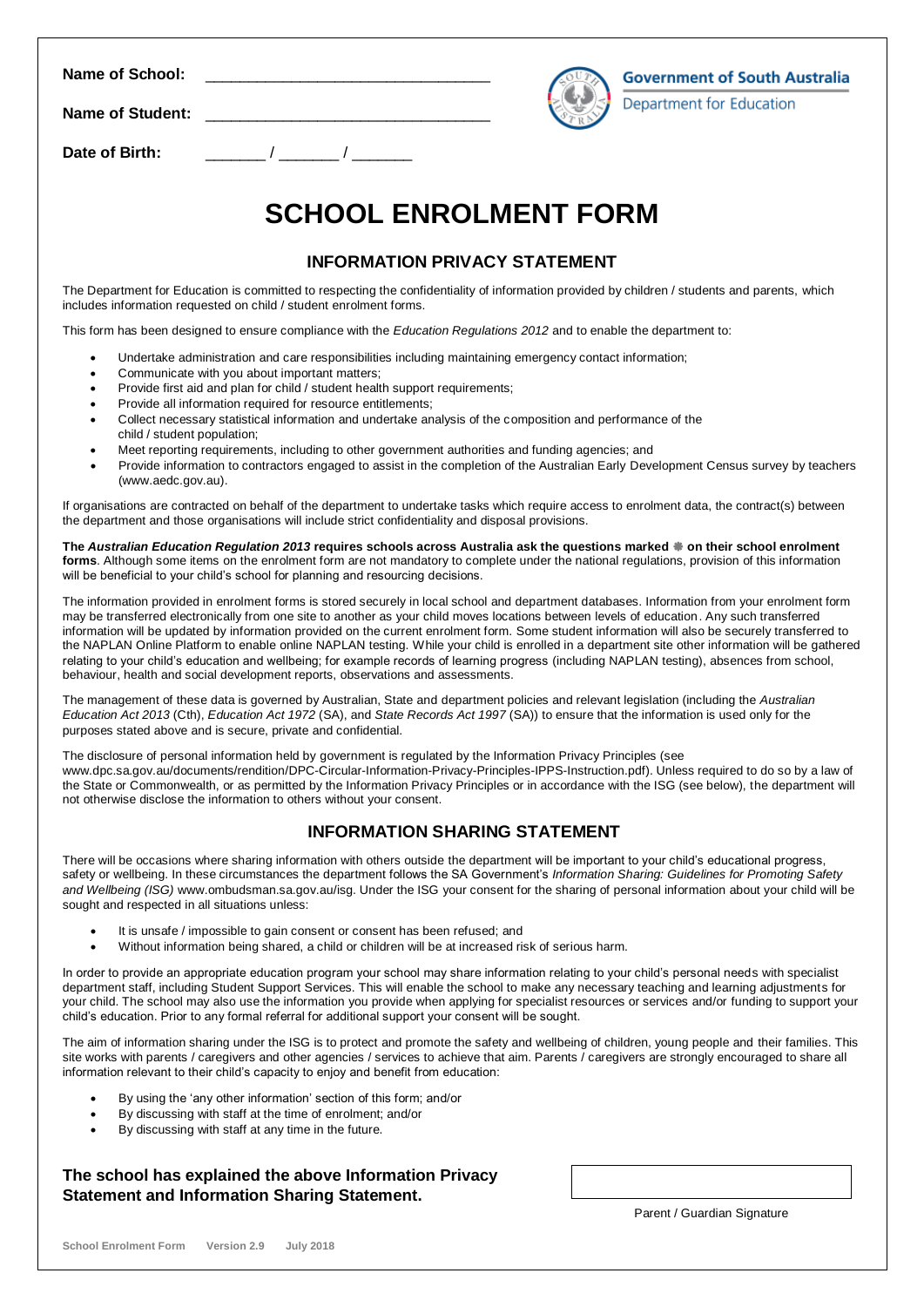| Name of School:         |  |
|-------------------------|--|
| <b>Name of Student:</b> |  |
| Date of Birth:          |  |

**Department for Education** 

# **SCHOOL ENROLMENT FORM**

#### **INFORMATION PRIVACY STATEMENT**

The Department for Education is committed to respecting the confidentiality of information provided by children / students and parents, which includes information requested on child / student enrolment forms.

This form has been designed to ensure compliance with the *Education Regulations 2012* and to enable the department to:

- Undertake administration and care responsibilities including maintaining emergency contact information;
- Communicate with you about important matters;
- Provide first aid and plan for child / student health support requirements;
- Provide all information required for resource entitlements;
- Collect necessary statistical information and undertake analysis of the composition and performance of the child / student population;
- Meet reporting requirements, including to other government authorities and funding agencies; and
- Provide information to contractors engaged to assist in the completion of the Australian Early Development Census survey by teachers [\(www.aedc.gov.au\)](http://www.aedc.gov.au/).

If organisations are contracted on behalf of the department to undertake tasks which require access to enrolment data, the contract(s) between the department and those organisations will include strict confidentiality and disposal provisions.

**The** *Australian Education Regulation 2013* **requires schools across Australia ask the questions marked on their school enrolment forms**. Although some items on the enrolment form are not mandatory to complete under the national regulations, provision of this information will be beneficial to your child's school for planning and resourcing decisions.

The information provided in enrolment forms is stored securely in local school and department databases. Information from your enrolment form may be transferred electronically from one site to another as your child moves locations between levels of education. Any such transferred information will be updated by information provided on the current enrolment form. Some student information will also be securely transferred to the NAPLAN Online Platform to enable online NAPLAN testing. While your child is enrolled in a department site other information will be gathered relating to your child's education and wellbeing; for example records of learning progress (including NAPLAN testing), absences from school, behaviour, health and social development reports, observations and assessments.

The management of these data is governed by Australian, State and department policies and relevant legislation (including the *Australian Education Act 2013* (Cth), *Education Act 1972* (SA), and *State Records Act 1997* (SA)) to ensure that the information is used only for the purposes stated above and is secure, private and confidential.

The disclosure of personal information held by government is regulated by the Information Privacy Principles (see [www.dpc.sa.gov.au/documents/rendition/DPC-Circular-Information-Privacy-Principles-IPPS-Instruction.pdf\)](file:///C:/Users/OliverS/AppData/Local/Microsoft/Windows/Temporary%20Internet%20Files/Content.Outlook/XQWDOOW8/www.dpc.sa.gov.au/documents/rendition/B17711). Unless required to do so by a law of the State or Commonwealth, or as permitted by the Information Privacy Principles or in accordance with the ISG (see below), the department will not otherwise disclose the information to others without your consent.

#### **INFORMATION SHARING STATEMENT**

There will be occasions where sharing information with others outside the department will be important to your child's educational progress, safety or wellbeing. In these circumstances the department follows the SA Government's *Information Sharing: Guidelines for Promoting Safety and Wellbeing (ISG)* [www.ombudsman.sa.gov.au/](http://www.ombudsman.sa.gov.au/)isg. Under the ISG your consent for the sharing of personal information about your child will be sought and respected in all situations unless:

- It is unsafe / impossible to gain consent or consent has been refused; and
- Without information being shared, a child or children will be at increased risk of serious harm.

In order to provide an appropriate education program your school may share information relating to your child's personal needs with specialist department staff, including Student Support Services. This will enable the school to make any necessary teaching and learning adjustments for your child. The school may also use the information you provide when applying for specialist resources or services and/or funding to support your child's education. Prior to any formal referral for additional support your consent will be sought.

The aim of information sharing under the ISG is to protect and promote the safety and wellbeing of children, young people and their families. This site works with parents / caregivers and other agencies / services to achieve that aim. Parents / caregivers are strongly encouraged to share all information relevant to their child's capacity to enjoy and benefit from education:

- By using the 'any other information' section of this form; and/or
- By discussing with staff at the time of enrolment; and/or
- By discussing with staff at any time in the future.

#### **The school has explained the above Information Privacy Statement and Information Sharing Statement.**

Parent / Guardian Signature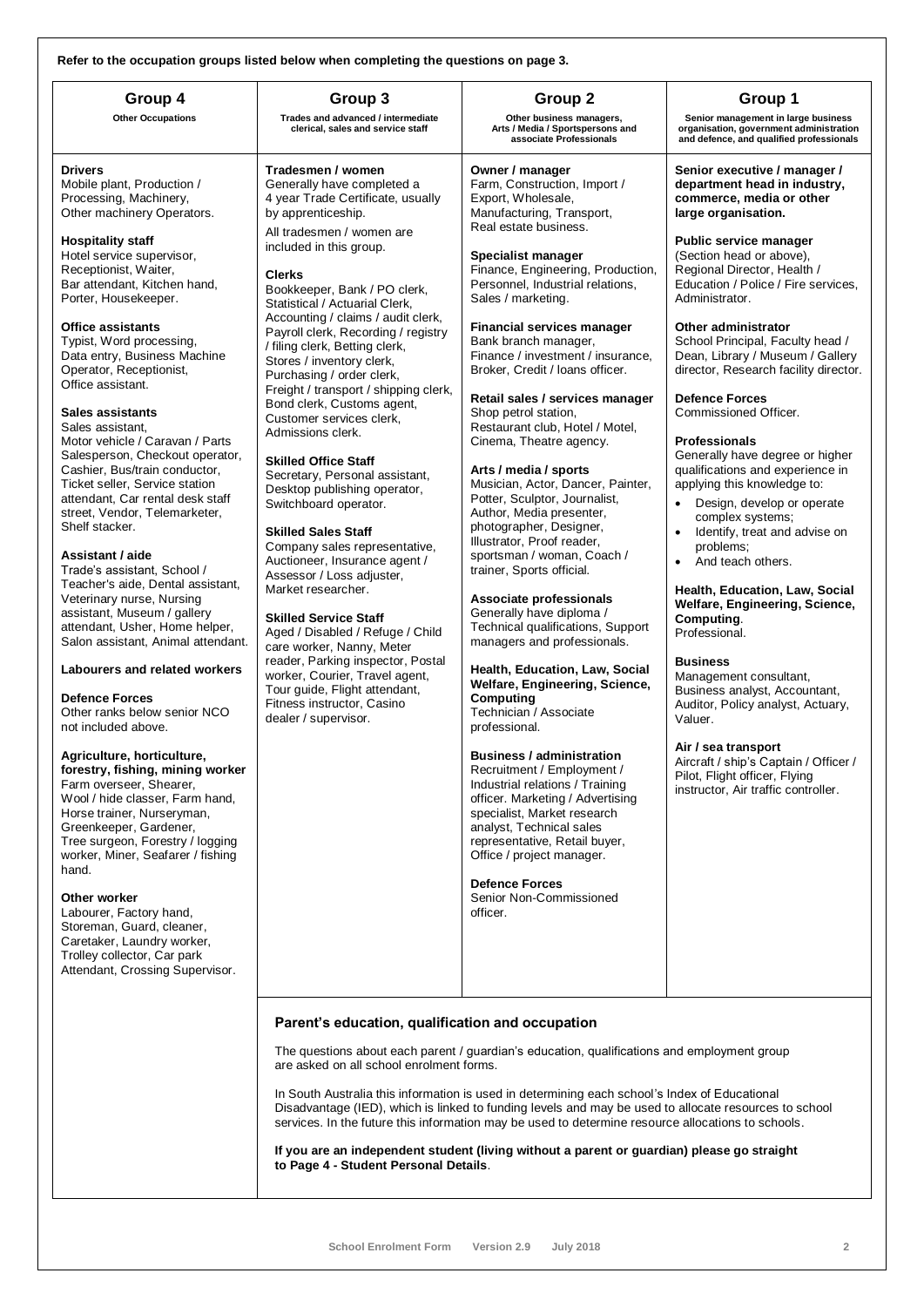**Refer to the occupation groups listed below when completing the questions on page 3.**

| Refer to the occupation groups listed below when completing the questions on page 3.                                                                                                                                                                                                                                                                                                                                                                                                                                                                                                                                                                                                                                                                                                                                                                                                                                                                                                                                                                                                                                                                                                                                                                                                                                                                                                                                                                                 |                                                                                                                                                                                                                                                                                                                                                                                                                                                                                                                                                                                                                                                                                                                                                                                                                                                                                                                                                                                                                                                                                                    |                                                                                                                                                                                                                                                                                                                                                                                                                                                                                                                                                                                                                                                                                                                                                                                                                                                                                                                                                                                                                                                                                                                                                                                                                                                                                                                                                        |                                                                                                                                                                                                                                                                                                                                                                                                                                                                                                                                                                                                                                                                                                                                                                                                                                                                                                                                                                                                                                                                                            |
|----------------------------------------------------------------------------------------------------------------------------------------------------------------------------------------------------------------------------------------------------------------------------------------------------------------------------------------------------------------------------------------------------------------------------------------------------------------------------------------------------------------------------------------------------------------------------------------------------------------------------------------------------------------------------------------------------------------------------------------------------------------------------------------------------------------------------------------------------------------------------------------------------------------------------------------------------------------------------------------------------------------------------------------------------------------------------------------------------------------------------------------------------------------------------------------------------------------------------------------------------------------------------------------------------------------------------------------------------------------------------------------------------------------------------------------------------------------------|----------------------------------------------------------------------------------------------------------------------------------------------------------------------------------------------------------------------------------------------------------------------------------------------------------------------------------------------------------------------------------------------------------------------------------------------------------------------------------------------------------------------------------------------------------------------------------------------------------------------------------------------------------------------------------------------------------------------------------------------------------------------------------------------------------------------------------------------------------------------------------------------------------------------------------------------------------------------------------------------------------------------------------------------------------------------------------------------------|--------------------------------------------------------------------------------------------------------------------------------------------------------------------------------------------------------------------------------------------------------------------------------------------------------------------------------------------------------------------------------------------------------------------------------------------------------------------------------------------------------------------------------------------------------------------------------------------------------------------------------------------------------------------------------------------------------------------------------------------------------------------------------------------------------------------------------------------------------------------------------------------------------------------------------------------------------------------------------------------------------------------------------------------------------------------------------------------------------------------------------------------------------------------------------------------------------------------------------------------------------------------------------------------------------------------------------------------------------|--------------------------------------------------------------------------------------------------------------------------------------------------------------------------------------------------------------------------------------------------------------------------------------------------------------------------------------------------------------------------------------------------------------------------------------------------------------------------------------------------------------------------------------------------------------------------------------------------------------------------------------------------------------------------------------------------------------------------------------------------------------------------------------------------------------------------------------------------------------------------------------------------------------------------------------------------------------------------------------------------------------------------------------------------------------------------------------------|
| Group 4<br><b>Other Occupations</b>                                                                                                                                                                                                                                                                                                                                                                                                                                                                                                                                                                                                                                                                                                                                                                                                                                                                                                                                                                                                                                                                                                                                                                                                                                                                                                                                                                                                                                  | Group 3<br>Trades and advanced / intermediate<br>clerical, sales and service staff                                                                                                                                                                                                                                                                                                                                                                                                                                                                                                                                                                                                                                                                                                                                                                                                                                                                                                                                                                                                                 | Group 2<br>Other business managers,<br>Arts / Media / Sportspersons and<br>associate Professionals                                                                                                                                                                                                                                                                                                                                                                                                                                                                                                                                                                                                                                                                                                                                                                                                                                                                                                                                                                                                                                                                                                                                                                                                                                                     | Group 1<br>Senior management in large business<br>organisation, government administration<br>and defence, and qualified professionals                                                                                                                                                                                                                                                                                                                                                                                                                                                                                                                                                                                                                                                                                                                                                                                                                                                                                                                                                      |
| <b>Drivers</b><br>Mobile plant, Production /<br>Processing, Machinery,<br>Other machinery Operators.<br><b>Hospitality staff</b><br>Hotel service supervisor,<br>Receptionist, Waiter,<br>Bar attendant, Kitchen hand,<br>Porter, Housekeeper.<br><b>Office assistants</b><br>Typist, Word processing,<br>Data entry, Business Machine<br>Operator, Receptionist,<br>Office assistant.<br><b>Sales assistants</b><br>Sales assistant,<br>Motor vehicle / Caravan / Parts<br>Salesperson, Checkout operator,<br>Cashier, Bus/train conductor,<br>Ticket seller, Service station<br>attendant, Car rental desk staff<br>street, Vendor, Telemarketer,<br>Shelf stacker.<br>Assistant / aide<br>Trade's assistant, School /<br>Teacher's aide, Dental assistant,<br>Veterinary nurse, Nursing<br>assistant, Museum / gallery<br>attendant, Usher, Home helper,<br>Salon assistant, Animal attendant.<br>Labourers and related workers<br><b>Defence Forces</b><br>Other ranks below senior NCO<br>not included above.<br>Agriculture, horticulture,<br>forestry, fishing, mining worker<br>Farm overseer, Shearer,<br>Wool / hide classer, Farm hand,<br>Horse trainer, Nurseryman,<br>Greenkeeper, Gardener,<br>Tree surgeon, Forestry / logging<br>worker, Miner, Seafarer / fishing<br>hand.<br>Other worker<br>Labourer, Factory hand,<br>Storeman, Guard, cleaner,<br>Caretaker, Laundry worker,<br>Trolley collector, Car park<br>Attendant, Crossing Supervisor. | Tradesmen / women<br>Generally have completed a<br>4 year Trade Certificate, usually<br>by apprenticeship.<br>All tradesmen / women are<br>included in this group.<br><b>Clerks</b><br>Bookkeeper, Bank / PO clerk,<br>Statistical / Actuarial Clerk,<br>Accounting / claims / audit clerk,<br>Payroll clerk, Recording / registry<br>/ filing clerk, Betting clerk,<br>Stores / inventory clerk,<br>Purchasing / order clerk,<br>Freight / transport / shipping clerk,<br>Bond clerk, Customs agent,<br>Customer services clerk,<br>Admissions clerk.<br><b>Skilled Office Staff</b><br>Secretary, Personal assistant,<br>Desktop publishing operator,<br>Switchboard operator.<br><b>Skilled Sales Staff</b><br>Company sales representative,<br>Auctioneer, Insurance agent /<br>Assessor / Loss adjuster,<br>Market researcher.<br><b>Skilled Service Staff</b><br>Aged / Disabled / Refuge / Child<br>care worker, Nanny, Meter<br>reader, Parking inspector, Postal<br>worker, Courier, Travel agent,<br>Tour guide, Flight attendant,<br>Fitness instructor, Casino<br>dealer / supervisor. | Owner / manager<br>Farm, Construction, Import /<br>Export, Wholesale,<br>Manufacturing, Transport,<br>Real estate business.<br>Specialist manager<br>Finance, Engineering, Production,<br>Personnel, Industrial relations,<br>Sales / marketing.<br><b>Financial services manager</b><br>Bank branch manager,<br>Finance / investment / insurance,<br>Broker, Credit / Ioans officer.<br>Retail sales / services manager<br>Shop petrol station,<br>Restaurant club, Hotel / Motel,<br>Cinema, Theatre agency.<br>Arts / media / sports<br>Musician, Actor, Dancer, Painter,<br>Potter, Sculptor, Journalist,<br>Author, Media presenter,<br>photographer, Designer,<br>Illustrator, Proof reader,<br>sportsman / woman, Coach /<br>trainer, Sports official.<br>Associate professionals<br>Generally have diploma /<br>Technical qualifications, Support<br>managers and professionals.<br>Health, Education, Law, Social<br>Welfare, Engineering, Science,<br>Computing<br>Technician / Associate<br>professional.<br><b>Business / administration</b><br>Recruitment / Employment /<br>Industrial relations / Training<br>officer. Marketing / Advertising<br>specialist, Market research<br>analyst, Technical sales<br>representative, Retail buyer,<br>Office / project manager.<br><b>Defence Forces</b><br>Senior Non-Commissioned<br>officer. | Senior executive / manager /<br>department head in industry,<br>commerce, media or other<br>large organisation.<br><b>Public service manager</b><br>(Section head or above),<br>Regional Director, Health /<br>Education / Police / Fire services.<br>Administrator.<br>Other administrator<br>School Principal, Faculty head /<br>Dean, Library / Museum / Gallery<br>director, Research facility director.<br><b>Defence Forces</b><br>Commissioned Officer.<br><b>Professionals</b><br>Generally have degree or higher<br>qualifications and experience in<br>applying this knowledge to:<br>Design, develop or operate<br>complex systems;<br>Identify, treat and advise on<br>problems;<br>And teach others.<br>Health, Education, Law, Social<br>Welfare, Engineering, Science,<br>Computing.<br>Professional.<br><b>Business</b><br>Management consultant,<br>Business analyst, Accountant,<br>Auditor, Policy analyst, Actuary,<br>Valuer.<br>Air / sea transport<br>Aircraft / ship's Captain / Officer /<br>Pilot, Flight officer, Flying<br>instructor, Air traffic controller. |
|                                                                                                                                                                                                                                                                                                                                                                                                                                                                                                                                                                                                                                                                                                                                                                                                                                                                                                                                                                                                                                                                                                                                                                                                                                                                                                                                                                                                                                                                      | Parent's education, qualification and occupation<br>are asked on all school enrolment forms.                                                                                                                                                                                                                                                                                                                                                                                                                                                                                                                                                                                                                                                                                                                                                                                                                                                                                                                                                                                                       | The questions about each parent / guardian's education, qualifications and employment group<br>In South Australia this information is used in determining each school's Index of Educational<br>Disadvantage (IED), which is linked to funding levels and may be used to allocate resources to school<br>services. In the future this information may be used to determine resource allocations to schools.<br>If you are an independent student (living without a parent or guardian) please go straight                                                                                                                                                                                                                                                                                                                                                                                                                                                                                                                                                                                                                                                                                                                                                                                                                                              |                                                                                                                                                                                                                                                                                                                                                                                                                                                                                                                                                                                                                                                                                                                                                                                                                                                                                                                                                                                                                                                                                            |
|                                                                                                                                                                                                                                                                                                                                                                                                                                                                                                                                                                                                                                                                                                                                                                                                                                                                                                                                                                                                                                                                                                                                                                                                                                                                                                                                                                                                                                                                      | to Page 4 - Student Personal Details.                                                                                                                                                                                                                                                                                                                                                                                                                                                                                                                                                                                                                                                                                                                                                                                                                                                                                                                                                                                                                                                              |                                                                                                                                                                                                                                                                                                                                                                                                                                                                                                                                                                                                                                                                                                                                                                                                                                                                                                                                                                                                                                                                                                                                                                                                                                                                                                                                                        |                                                                                                                                                                                                                                                                                                                                                                                                                                                                                                                                                                                                                                                                                                                                                                                                                                                                                                                                                                                                                                                                                            |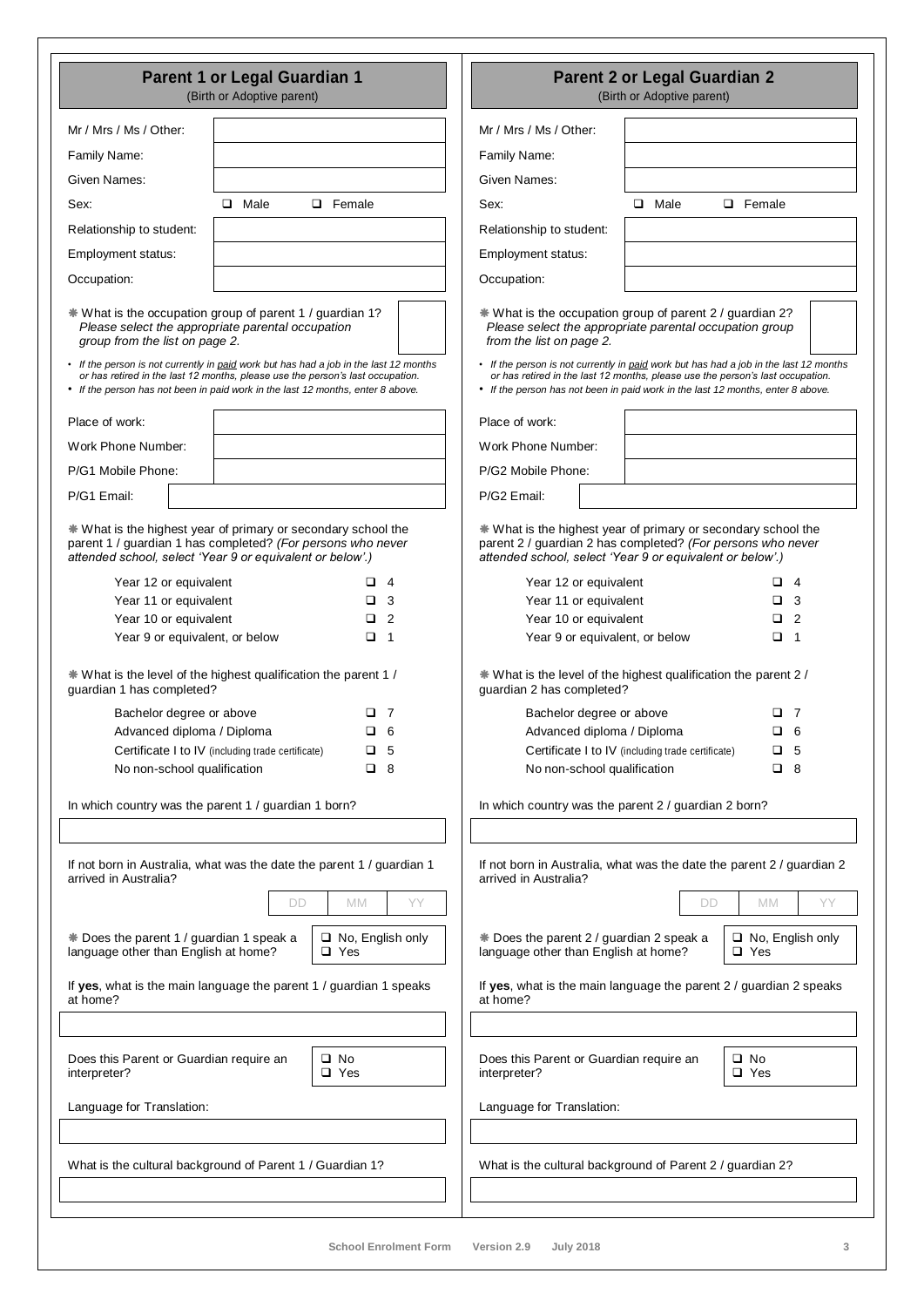| Parent 1 or Legal Guardian 1<br>(Birth or Adoptive parent)                                                                                                                                                                                                                            | <b>Parent 2 or Legal Guardian 2</b><br>(Birth or Adoptive parent)                                                                                                                                                                                                                     |  |  |  |
|---------------------------------------------------------------------------------------------------------------------------------------------------------------------------------------------------------------------------------------------------------------------------------------|---------------------------------------------------------------------------------------------------------------------------------------------------------------------------------------------------------------------------------------------------------------------------------------|--|--|--|
| Mr / Mrs / Ms / Other:                                                                                                                                                                                                                                                                | Mr / Mrs / Ms / Other:                                                                                                                                                                                                                                                                |  |  |  |
| Family Name:                                                                                                                                                                                                                                                                          | Family Name:                                                                                                                                                                                                                                                                          |  |  |  |
| Given Names:                                                                                                                                                                                                                                                                          | Given Names:                                                                                                                                                                                                                                                                          |  |  |  |
| $\Box$ Male<br><b>Q</b> Female<br>Sex:                                                                                                                                                                                                                                                | $\Box$ Male<br>$\Box$ Female<br>Sex:                                                                                                                                                                                                                                                  |  |  |  |
| Relationship to student:                                                                                                                                                                                                                                                              | Relationship to student:                                                                                                                                                                                                                                                              |  |  |  |
| Employment status:                                                                                                                                                                                                                                                                    | Employment status:                                                                                                                                                                                                                                                                    |  |  |  |
| Occupation:                                                                                                                                                                                                                                                                           | Occupation:                                                                                                                                                                                                                                                                           |  |  |  |
|                                                                                                                                                                                                                                                                                       |                                                                                                                                                                                                                                                                                       |  |  |  |
| * What is the occupation group of parent 1 / guardian 1?<br>Please select the appropriate parental occupation<br>group from the list on page 2.                                                                                                                                       | * What is the occupation group of parent 2 / guardian 2?<br>Please select the appropriate parental occupation group<br>from the list on page 2.                                                                                                                                       |  |  |  |
| • If the person is not currently in paid work but has had a job in the last 12 months<br>or has retired in the last 12 months, please use the person's last occupation.<br>• If the person has not been in paid work in the last 12 months, enter 8 above.                            | • If the person is not currently in paid work but has had a job in the last 12 months<br>or has retired in the last 12 months, please use the person's last occupation.<br>• If the person has not been in paid work in the last 12 months, enter 8 above.                            |  |  |  |
| Place of work:                                                                                                                                                                                                                                                                        | Place of work:                                                                                                                                                                                                                                                                        |  |  |  |
| Work Phone Number:                                                                                                                                                                                                                                                                    | Work Phone Number:                                                                                                                                                                                                                                                                    |  |  |  |
| P/G1 Mobile Phone:                                                                                                                                                                                                                                                                    | P/G2 Mobile Phone:                                                                                                                                                                                                                                                                    |  |  |  |
| P/G1 Email:                                                                                                                                                                                                                                                                           | P/G2 Email:                                                                                                                                                                                                                                                                           |  |  |  |
| * What is the highest year of primary or secondary school the<br>parent 1 / guardian 1 has completed? (For persons who never<br>attended school, select 'Year 9 or equivalent or below'.)                                                                                             | * What is the highest year of primary or secondary school the<br>parent 2 / guardian 2 has completed? (For persons who never<br>attended school, select 'Year 9 or equivalent or below'.)                                                                                             |  |  |  |
| Year 12 or equivalent<br>$\Box$ 4                                                                                                                                                                                                                                                     | Year 12 or equivalent<br>4<br>ப                                                                                                                                                                                                                                                       |  |  |  |
| Year 11 or equivalent<br>3                                                                                                                                                                                                                                                            | Year 11 or equivalent<br>3<br>▫                                                                                                                                                                                                                                                       |  |  |  |
| Year 10 or equivalent<br>$\Box$ 2<br>Year 9 or equivalent, or below<br>$\Box$ 1                                                                                                                                                                                                       | Year 10 or equivalent<br>$\overline{2}$<br>□.<br>Year 9 or equivalent, or below<br>$\Box$ 1                                                                                                                                                                                           |  |  |  |
| * What is the level of the highest qualification the parent 1 /<br>quardian 1 has completed?<br>Bachelor degree or above<br>⊔ 7<br>Advanced diploma / Diploma<br>$\Box$ 6<br>Certificate I to IV (including trade certificate)<br>$\Box$ 5<br>No non-school qualification<br>$\Box$ 8 | * What is the level of the highest qualification the parent 2 /<br>quardian 2 has completed?<br>Bachelor degree or above<br>O 7<br>Advanced diploma / Diploma<br>$\Box$ 6<br>Certificate I to IV (including trade certificate)<br>$\Box$ 5<br>No non-school qualification<br>$\Box$ 8 |  |  |  |
| In which country was the parent 1 / guardian 1 born?                                                                                                                                                                                                                                  | In which country was the parent 2 / guardian 2 born?                                                                                                                                                                                                                                  |  |  |  |
|                                                                                                                                                                                                                                                                                       |                                                                                                                                                                                                                                                                                       |  |  |  |
| If not born in Australia, what was the date the parent 1 / guardian 1<br>arrived in Australia?                                                                                                                                                                                        | If not born in Australia, what was the date the parent 2 / guardian 2<br>arrived in Australia?                                                                                                                                                                                        |  |  |  |
| <b>MM</b><br>ΥY<br>DD                                                                                                                                                                                                                                                                 | YY<br>DD<br><b>MM</b>                                                                                                                                                                                                                                                                 |  |  |  |
| * Does the parent 1 / guardian 1 speak a<br>$\Box$ No, English only<br>language other than English at home?<br>□ Yes                                                                                                                                                                  | * Does the parent 2 / guardian 2 speak a<br>$\Box$ No, English only<br>language other than English at home?<br>$\square$ Yes                                                                                                                                                          |  |  |  |
| If yes, what is the main language the parent 1 / guardian 1 speaks<br>at home?                                                                                                                                                                                                        | If yes, what is the main language the parent $2/$ guardian 2 speaks<br>at home?                                                                                                                                                                                                       |  |  |  |
|                                                                                                                                                                                                                                                                                       |                                                                                                                                                                                                                                                                                       |  |  |  |
| Does this Parent or Guardian require an<br>□ No<br>interpreter?<br>□ Yes                                                                                                                                                                                                              | Does this Parent or Guardian require an<br>□ No<br>interpreter?<br>□ Yes                                                                                                                                                                                                              |  |  |  |
| Language for Translation:                                                                                                                                                                                                                                                             | Language for Translation:                                                                                                                                                                                                                                                             |  |  |  |
|                                                                                                                                                                                                                                                                                       |                                                                                                                                                                                                                                                                                       |  |  |  |
| What is the cultural background of Parent 1 / Guardian 1?                                                                                                                                                                                                                             | What is the cultural background of Parent 2 / guardian 2?                                                                                                                                                                                                                             |  |  |  |
|                                                                                                                                                                                                                                                                                       |                                                                                                                                                                                                                                                                                       |  |  |  |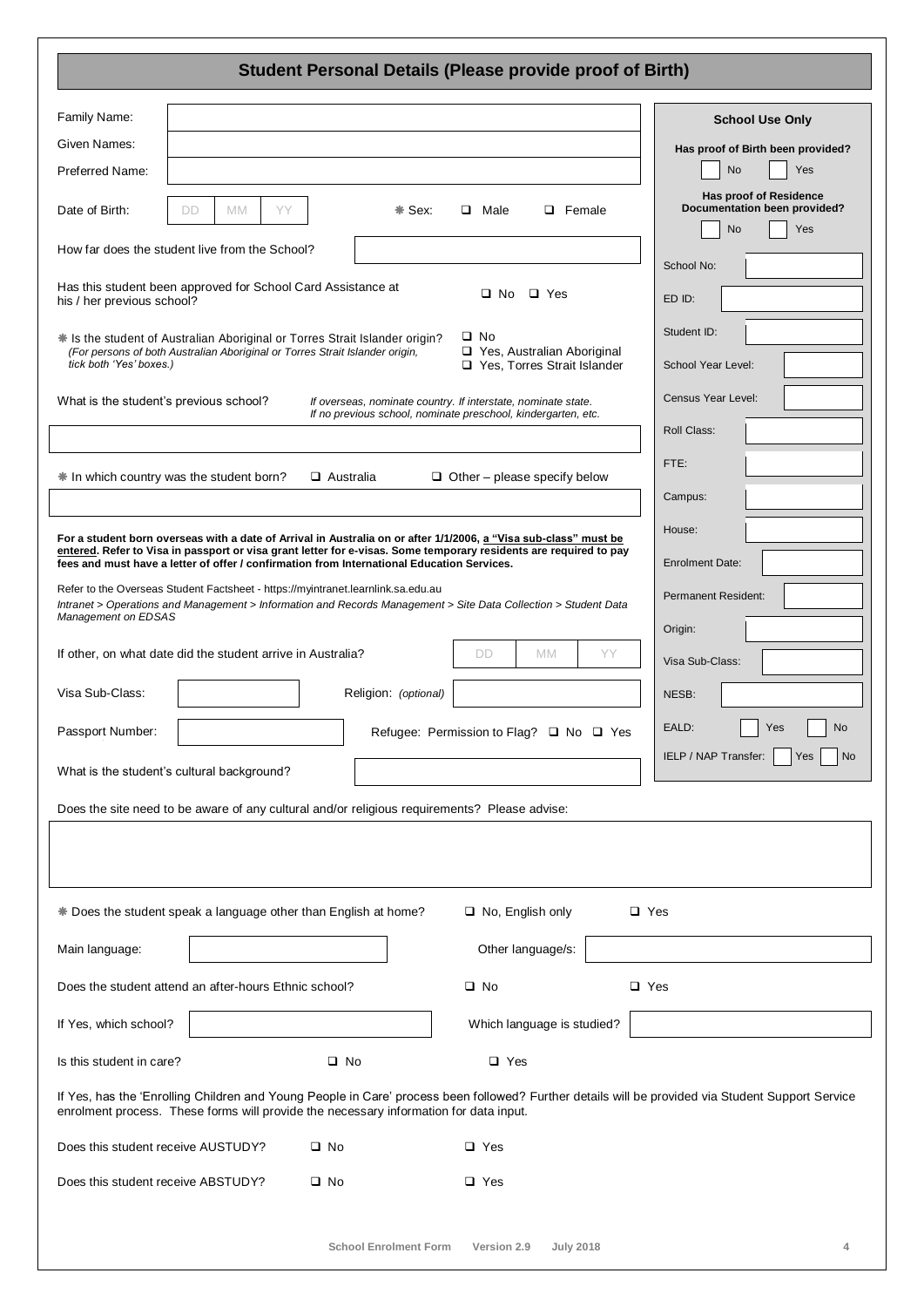### **Student Personal Details (Please provide proof of Birth)**

| Family Name:                                                                                                                                                                           |                 |                              |                                                                                                                   |            | <b>School Use Only</b>                                                                                                                            |
|----------------------------------------------------------------------------------------------------------------------------------------------------------------------------------------|-----------------|------------------------------|-------------------------------------------------------------------------------------------------------------------|------------|---------------------------------------------------------------------------------------------------------------------------------------------------|
| Given Names:                                                                                                                                                                           |                 |                              |                                                                                                                   |            | Has proof of Birth been provided?                                                                                                                 |
| Preferred Name:                                                                                                                                                                        |                 |                              |                                                                                                                   |            | No<br>Yes                                                                                                                                         |
| Date of Birth:<br><b>DD</b>                                                                                                                                                            | YY<br><b>MM</b> | * Sex:                       | $\Box$ Male<br>$\Box$ Female                                                                                      |            | Has proof of Residence<br>Documentation been provided?<br><b>No</b><br>Yes                                                                        |
| How far does the student live from the School?                                                                                                                                         |                 |                              |                                                                                                                   |            | School No:                                                                                                                                        |
| Has this student been approved for School Card Assistance at<br>his / her previous school?                                                                                             |                 |                              | $\Box$ Yes<br>□ No                                                                                                |            | ED ID:                                                                                                                                            |
| * Is the student of Australian Aboriginal or Torres Strait Islander origin?<br>(For persons of both Australian Aboriginal or Torres Strait Islander origin,<br>tick both 'Yes' boxes.) |                 |                              | $\square$ No<br>□ Yes, Australian Aboriginal<br>Yes, Torres Strait Islander                                       |            | Student ID:<br>School Year Level:                                                                                                                 |
| What is the student's previous school?                                                                                                                                                 |                 |                              | If overseas, nominate country. If interstate, nominate state.                                                     |            | <b>Census Year Level:</b>                                                                                                                         |
|                                                                                                                                                                                        |                 |                              | If no previous school, nominate preschool, kindergarten, etc.                                                     |            | Roll Class:                                                                                                                                       |
| # In which country was the student born?                                                                                                                                               |                 | $\Box$ Australia             | $\Box$ Other – please specify below                                                                               |            | FTE:                                                                                                                                              |
|                                                                                                                                                                                        |                 |                              |                                                                                                                   |            | Campus:                                                                                                                                           |
|                                                                                                                                                                                        |                 |                              | For a student born overseas with a date of Arrival in Australia on or after 1/1/2006, a "Visa sub-class" must be  |            | House:                                                                                                                                            |
| fees and must have a letter of offer / confirmation from International Education Services.                                                                                             |                 |                              | entered. Refer to Visa in passport or visa grant letter for e-visas. Some temporary residents are required to pay |            | <b>Enrolment Date:</b>                                                                                                                            |
| Refer to the Overseas Student Factsheet - https://myintranet.learnlink.sa.edu.au<br>Management on EDSAS                                                                                |                 |                              | Intranet > Operations and Management > Information and Records Management > Site Data Collection > Student Data   |            | <b>Permanent Resident:</b><br>Origin:                                                                                                             |
| If other, on what date did the student arrive in Australia?                                                                                                                            |                 |                              | YY<br>DD<br><b>MM</b>                                                                                             |            | Visa Sub-Class:                                                                                                                                   |
| Visa Sub-Class:                                                                                                                                                                        |                 | Religion: (optional)         |                                                                                                                   |            | NESB:                                                                                                                                             |
| Passport Number:                                                                                                                                                                       |                 |                              | Refugee: Permission to Flag? □ No □ Yes                                                                           |            | EALD:<br>No<br>Yes                                                                                                                                |
| What is the student's cultural background?                                                                                                                                             |                 |                              |                                                                                                                   |            | IELP / NAP Transfer:<br><b>No</b><br>Yes                                                                                                          |
| Does the site need to be aware of any cultural and/or religious requirements? Please advise:                                                                                           |                 |                              |                                                                                                                   |            |                                                                                                                                                   |
|                                                                                                                                                                                        |                 |                              |                                                                                                                   |            |                                                                                                                                                   |
| * Does the student speak a language other than English at home?                                                                                                                        |                 |                              | $\Box$ No, English only                                                                                           | □ Yes      |                                                                                                                                                   |
| Main language:                                                                                                                                                                         |                 |                              | Other language/s:                                                                                                 |            |                                                                                                                                                   |
| Does the student attend an after-hours Ethnic school?                                                                                                                                  |                 |                              | $\square$ No                                                                                                      | $\Box$ Yes |                                                                                                                                                   |
| If Yes, which school?                                                                                                                                                                  |                 |                              | Which language is studied?                                                                                        |            |                                                                                                                                                   |
| Is this student in care?                                                                                                                                                               |                 | $\square$ No                 | $\Box$ Yes                                                                                                        |            |                                                                                                                                                   |
| enrolment process. These forms will provide the necessary information for data input.                                                                                                  |                 |                              |                                                                                                                   |            | If Yes, has the 'Enrolling Children and Young People in Care' process been followed? Further details will be provided via Student Support Service |
| Does this student receive AUSTUDY?                                                                                                                                                     |                 | $\square$ No                 | $\Box$ Yes                                                                                                        |            |                                                                                                                                                   |
| Does this student receive ABSTUDY?                                                                                                                                                     |                 | $\square$ No                 | □ Yes                                                                                                             |            |                                                                                                                                                   |
|                                                                                                                                                                                        |                 | <b>School Enrolment Form</b> | Version 2.9<br><b>July 2018</b>                                                                                   |            |                                                                                                                                                   |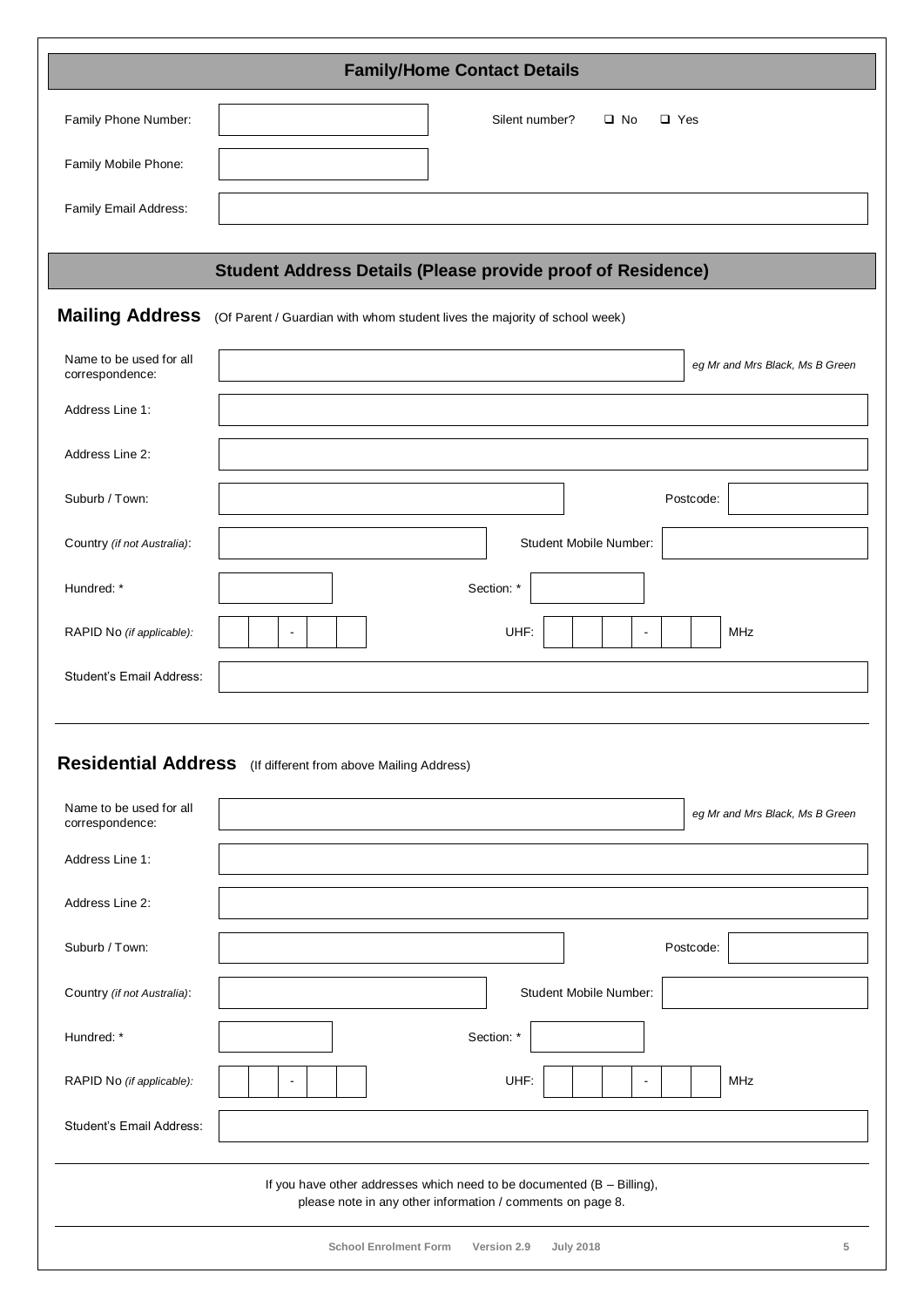| <b>Family/Home Contact Details</b>         |                                                                                                                                          |  |  |  |  |  |  |  |
|--------------------------------------------|------------------------------------------------------------------------------------------------------------------------------------------|--|--|--|--|--|--|--|
| Family Phone Number:                       | Silent number?<br>$\square$ No<br>$\Box$ Yes                                                                                             |  |  |  |  |  |  |  |
| Family Mobile Phone:                       |                                                                                                                                          |  |  |  |  |  |  |  |
| Family Email Address:                      |                                                                                                                                          |  |  |  |  |  |  |  |
|                                            |                                                                                                                                          |  |  |  |  |  |  |  |
|                                            | <b>Student Address Details (Please provide proof of Residence)</b>                                                                       |  |  |  |  |  |  |  |
| <b>Mailing Address</b>                     | (Of Parent / Guardian with whom student lives the majority of school week)                                                               |  |  |  |  |  |  |  |
| Name to be used for all<br>correspondence: | eg Mr and Mrs Black, Ms B Green                                                                                                          |  |  |  |  |  |  |  |
| Address Line 1:                            |                                                                                                                                          |  |  |  |  |  |  |  |
| Address Line 2:                            |                                                                                                                                          |  |  |  |  |  |  |  |
| Suburb / Town:                             | Postcode:                                                                                                                                |  |  |  |  |  |  |  |
| Country (if not Australia):                | Student Mobile Number:                                                                                                                   |  |  |  |  |  |  |  |
| Hundred: *                                 | Section: *                                                                                                                               |  |  |  |  |  |  |  |
| RAPID No (if applicable):                  | UHF:<br>MHz<br>$\blacksquare$<br>$\blacksquare$                                                                                          |  |  |  |  |  |  |  |
| Student's Email Address:                   |                                                                                                                                          |  |  |  |  |  |  |  |
|                                            |                                                                                                                                          |  |  |  |  |  |  |  |
|                                            | Residential Address (If different from above Mailing Address)                                                                            |  |  |  |  |  |  |  |
| Name to be used for all<br>correspondence: | eg Mr and Mrs Black, Ms B Green                                                                                                          |  |  |  |  |  |  |  |
| Address Line 1:                            |                                                                                                                                          |  |  |  |  |  |  |  |
| Address Line 2:                            |                                                                                                                                          |  |  |  |  |  |  |  |
| Suburb / Town:                             | Postcode:                                                                                                                                |  |  |  |  |  |  |  |
| Country (if not Australia):                | Student Mobile Number:                                                                                                                   |  |  |  |  |  |  |  |
| Hundred: *                                 | Section: *                                                                                                                               |  |  |  |  |  |  |  |
| RAPID No (if applicable):                  | UHF:<br>MHz<br>$\blacksquare$<br>$\blacksquare$                                                                                          |  |  |  |  |  |  |  |
| Student's Email Address:                   |                                                                                                                                          |  |  |  |  |  |  |  |
|                                            | If you have other addresses which need to be documented $(B - B)$ illing),<br>please note in any other information / comments on page 8. |  |  |  |  |  |  |  |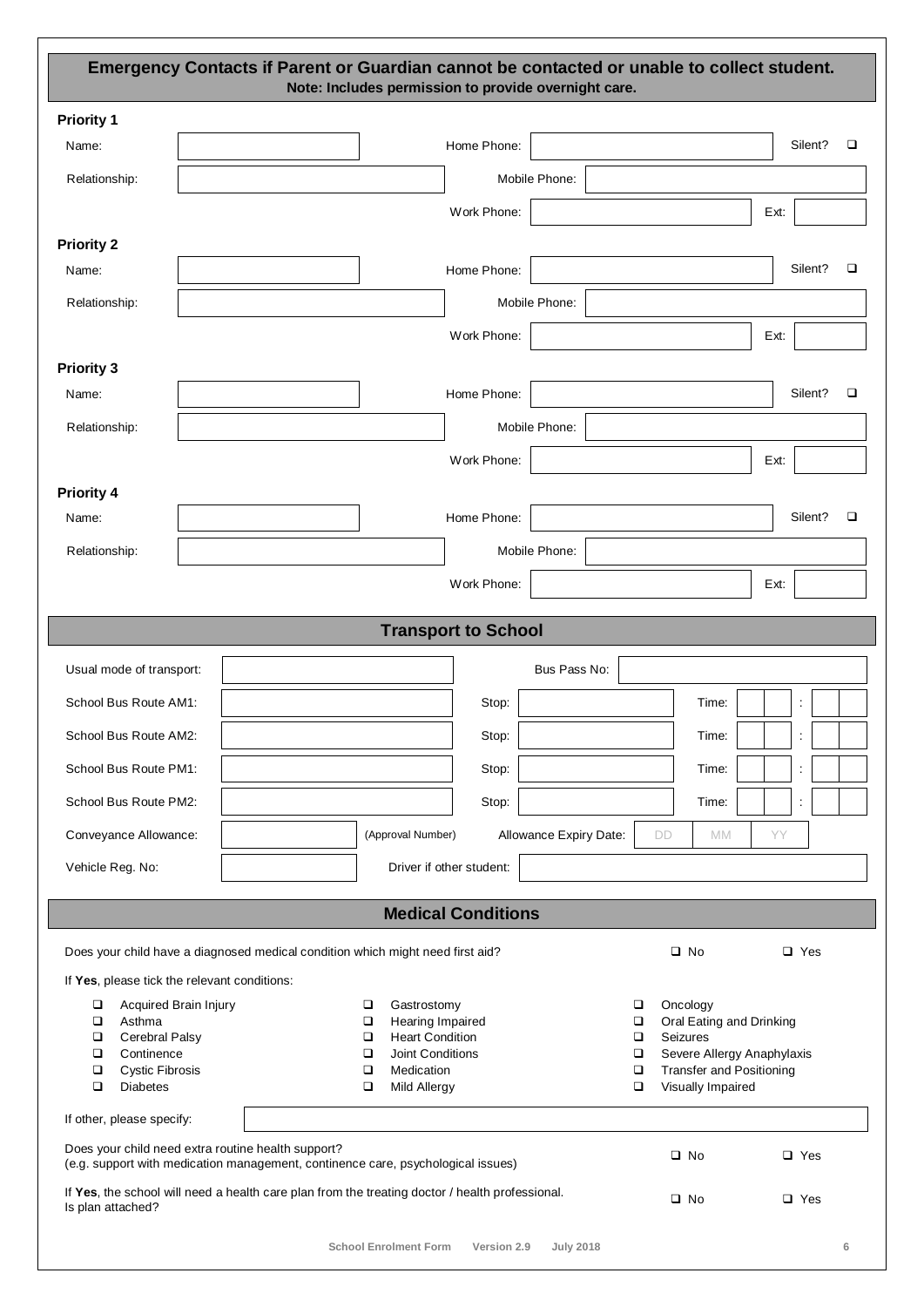#### **Emergency Contacts if Parent or Guardian cannot be contacted or unable to collect student. Note: Includes permission to provide overnight care.**

| <b>Priority 1</b>                                                          |                                                                                                 |                                          |             |                        |                  |                                                               |      |            |        |
|----------------------------------------------------------------------------|-------------------------------------------------------------------------------------------------|------------------------------------------|-------------|------------------------|------------------|---------------------------------------------------------------|------|------------|--------|
| Name:                                                                      |                                                                                                 |                                          | Home Phone: |                        |                  |                                                               |      | Silent?    | $\Box$ |
| Relationship:                                                              |                                                                                                 |                                          |             | Mobile Phone:          |                  |                                                               |      |            |        |
|                                                                            |                                                                                                 |                                          | Work Phone: |                        |                  |                                                               | Ext: |            |        |
| <b>Priority 2</b>                                                          |                                                                                                 |                                          |             |                        |                  |                                                               |      |            |        |
| Name:                                                                      |                                                                                                 |                                          | Home Phone: |                        |                  |                                                               |      | Silent?    | □      |
| Relationship:                                                              |                                                                                                 |                                          |             | Mobile Phone:          |                  |                                                               |      |            |        |
|                                                                            |                                                                                                 |                                          | Work Phone: |                        |                  |                                                               | Ext: |            |        |
| <b>Priority 3</b>                                                          |                                                                                                 |                                          |             |                        |                  |                                                               |      |            |        |
| Name:                                                                      |                                                                                                 |                                          | Home Phone: |                        |                  |                                                               |      | Silent?    | $\Box$ |
| Relationship:                                                              |                                                                                                 |                                          |             | Mobile Phone:          |                  |                                                               |      |            |        |
|                                                                            |                                                                                                 |                                          | Work Phone: |                        |                  |                                                               | Ext: |            |        |
| <b>Priority 4</b>                                                          |                                                                                                 |                                          |             |                        |                  |                                                               |      |            |        |
| Name:                                                                      |                                                                                                 |                                          | Home Phone: |                        |                  |                                                               |      | Silent?    | □      |
| Relationship:                                                              |                                                                                                 |                                          |             | Mobile Phone:          |                  |                                                               |      |            |        |
|                                                                            |                                                                                                 |                                          | Work Phone: |                        |                  |                                                               | Ext: |            |        |
|                                                                            |                                                                                                 | <b>Transport to School</b>               |             |                        |                  |                                                               |      |            |        |
|                                                                            |                                                                                                 |                                          |             |                        |                  |                                                               |      |            |        |
| Usual mode of transport:                                                   |                                                                                                 |                                          |             | Bus Pass No:           |                  |                                                               |      |            |        |
| School Bus Route AM1:                                                      |                                                                                                 |                                          | Stop:       |                        |                  | Time:                                                         |      |            |        |
| School Bus Route AM2:                                                      |                                                                                                 |                                          | Stop:       |                        |                  | Time:                                                         |      |            |        |
| School Bus Route PM1:                                                      |                                                                                                 |                                          | Stop:       |                        |                  | Time:                                                         |      |            |        |
| School Bus Route PM2:                                                      |                                                                                                 |                                          | Stop:       |                        |                  | Time:                                                         |      |            |        |
| Conveyance Allowance:                                                      |                                                                                                 | (Approval Number)                        |             | Allowance Expiry Date: | DD               | MM                                                            | YY   |            |        |
| Vehicle Reg. No:                                                           |                                                                                                 | Driver if other student:                 |             |                        |                  |                                                               |      |            |        |
|                                                                            |                                                                                                 | <b>Medical Conditions</b>                |             |                        |                  |                                                               |      |            |        |
|                                                                            |                                                                                                 |                                          |             |                        |                  |                                                               |      |            |        |
|                                                                            | Does your child have a diagnosed medical condition which might need first aid?                  |                                          |             |                        |                  | $\square$ No                                                  |      | $\Box$ Yes |        |
| If Yes, please tick the relevant conditions:<br>Acquired Brain Injury<br>о |                                                                                                 | Gastrostomy<br>о                         |             |                        | $\Box$           | Oncology                                                      |      |            |        |
| $\Box$<br>Asthma                                                           |                                                                                                 | Hearing Impaired<br>о                    |             |                        | $\Box$           | Oral Eating and Drinking                                      |      |            |        |
| Cerebral Palsy<br>□                                                        |                                                                                                 | <b>Heart Condition</b><br>□              |             |                        | ❏                | Seizures                                                      |      |            |        |
| Continence<br>$\Box$<br>$\Box$<br><b>Cystic Fibrosis</b>                   |                                                                                                 | Joint Conditions<br>□<br>Medication<br>□ |             |                        | $\Box$<br>$\Box$ | Severe Allergy Anaphylaxis<br><b>Transfer and Positioning</b> |      |            |        |
| $\Box$<br><b>Diabetes</b>                                                  |                                                                                                 | $\Box$<br>Mild Allergy                   |             |                        | $\Box$           | Visually Impaired                                             |      |            |        |
| If other, please specify:                                                  |                                                                                                 |                                          |             |                        |                  |                                                               |      |            |        |
| Does your child need extra routine health support?                         | (e.g. support with medication management, continence care, psychological issues)                |                                          |             |                        |                  | $\square$ No                                                  |      | $\Box$ Yes |        |
| Is plan attached?                                                          | If Yes, the school will need a health care plan from the treating doctor / health professional. |                                          |             |                        |                  | $\square$ No                                                  |      | $\Box$ Yes |        |
|                                                                            |                                                                                                 | <b>School Enrolment Form</b>             | Version 2.9 | <b>July 2018</b>       |                  |                                                               |      |            | 6      |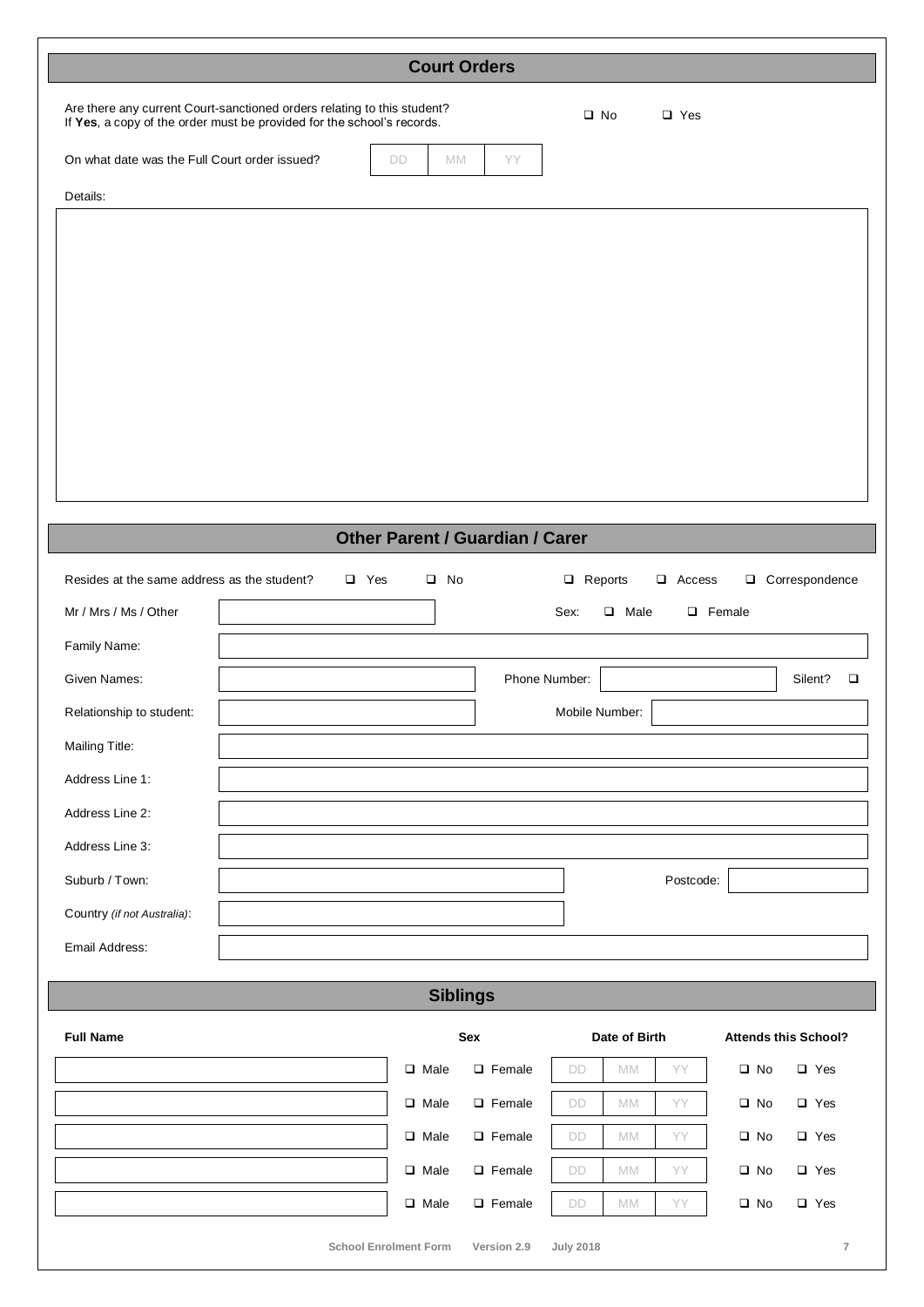| <b>Court Orders</b>                                                                                                                               |    |    |     |              |            |  |
|---------------------------------------------------------------------------------------------------------------------------------------------------|----|----|-----|--------------|------------|--|
| Are there any current Court-sanctioned orders relating to this student?<br>If Yes, a copy of the order must be provided for the school's records. |    |    |     | $\square$ No | $\Box$ Yes |  |
| On what date was the Full Court order issued?                                                                                                     | DD | MM | YY. |              |            |  |
| Details:                                                                                                                                          |    |    |     |              |            |  |
|                                                                                                                                                   |    |    |     |              |            |  |
|                                                                                                                                                   |    |    |     |              |            |  |
|                                                                                                                                                   |    |    |     |              |            |  |
|                                                                                                                                                   |    |    |     |              |            |  |
|                                                                                                                                                   |    |    |     |              |            |  |

## **Other Parent / Guardian / Carer**

| Resides at the same address as the student? | $\Box$ Yes | $\square$ No | Reports<br>Correspondence<br>$\Box$<br>$\Box$ Access<br>$\Box$ |   |
|---------------------------------------------|------------|--------------|----------------------------------------------------------------|---|
| Mr / Mrs / Ms / Other                       |            |              | Sex:<br>$\Box$ Female<br>Male<br>$\Box$                        |   |
| Family Name:                                |            |              |                                                                |   |
| Given Names:                                |            |              | Phone Number:<br>Silent?                                       | □ |
| Relationship to student:                    |            |              | Mobile Number:                                                 |   |
| Mailing Title:                              |            |              |                                                                |   |
| Address Line 1:                             |            |              |                                                                |   |
| Address Line 2:                             |            |              |                                                                |   |
| Address Line 3:                             |            |              |                                                                |   |
| Suburb / Town:                              |            |              | Postcode:                                                      |   |
| Country (if not Australia):                 |            |              |                                                                |   |
| Email Address:                              |            |              |                                                                |   |

### **Siblings**

| <b>Full Name</b> | <b>Sex</b>                   |               | Date of Birth    |           |           | <b>Attends this School?</b> |            |  |
|------------------|------------------------------|---------------|------------------|-----------|-----------|-----------------------------|------------|--|
|                  | $\Box$ Male                  | $\Box$ Female | DD               | <b>MM</b> | YY        | $\square$ No                | $\Box$ Yes |  |
|                  | $\Box$ Male                  | $\Box$ Female | DD               | <b>MM</b> | YY        | $\square$ No                | $\Box$ Yes |  |
|                  | $\Box$ Male                  | $\Box$ Female | DD               | <b>MM</b> | <b>YY</b> | $\square$ No                | $\Box$ Yes |  |
|                  | $\Box$ Male                  | $\Box$ Female | DD               | <b>MM</b> | YY        | $\square$ No                | $\Box$ Yes |  |
|                  | $\Box$ Male                  | $\Box$ Female | DD               | <b>MM</b> | <b>YY</b> | $\square$ No                | $\Box$ Yes |  |
|                  | <b>School Enrolment Form</b> | Version 2.9   | <b>July 2018</b> |           |           |                             | 7          |  |